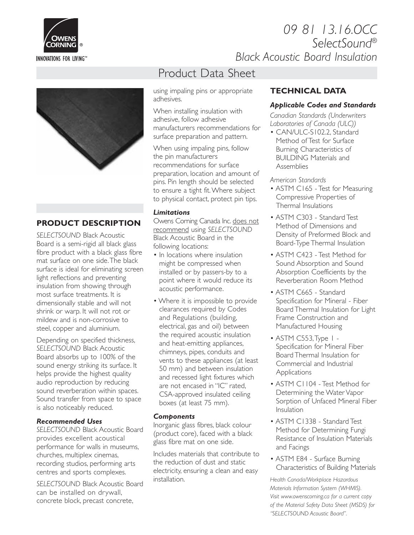

## *09 81 13.16.OCC SelectSound® Black Acoustic Board Insulation*



## **PRODUCT DESCRIPTION**

*SELECTSOUND* Black Acoustic Board is a semi-rigid all black glass fibre product with a black glass fibre mat surface on one side.The black surface is ideal for eliminating screen light reflections and preventing insulation from showing through most surface treatments. It is dimensionally stable and will not shrink or warp. It will not rot or mildew and is non-corrosive to steel, copper and aluminium.

Depending on specified thickness, *SELECTSOUND* Black Acoustic Board absorbs up to 100% of the sound energy striking its surface. It helps provide the highest quality audio reproduction by reducing sound reverberation within spaces. Sound transfer from space to space is also noticeably reduced.

#### *Recommended Uses*

*SELECTSOUND* Black Acoustic Board provides excellent acoustical performance for walls in museums, churches, multiplex cinemas, recording studios, performing arts centres and sports complexes.

*SELECTSOUND* Black Acoustic Board can be installed on drywall, concrete block, precast concrete,

# Product Data Sheet

using impaling pins or appropriate adhesives.

When installing insulation with adhesive, follow adhesive manufacturers recommendations for surface preparation and pattern.

When using impaling pins, follow the pin manufacturers recommendations for surface preparation, location and amount of pins. Pin length should be selected to ensure a tight fit.Where subject to physical contact, protect pin tips.

### *Limitations*

Owens Corning Canada Inc. does not recommend using *SELECTSOUND* Black Acoustic Board in the following locations:

- In locations where insulation might be compressed when installed or by passers-by to a point where it would reduce its acoustic performance.
- Where it is impossible to provide clearances required by Codes and Regulations (building, electrical, gas and oil) between the required acoustic insulation and heat-emitting appliances, chimneys, pipes, conduits and vents to these appliances (at least 50 mm) and between insulation and recessed light fixtures which are not encased in "IC" rated, CSA-approved insulated ceiling boxes (at least 75 mm).

## *Components*

Inorganic glass fibres, black colour (product core), faced with a black glass fibre mat on one side.

Includes materials that contribute to the reduction of dust and static electricity, ensuring a clean and easy installation.

## **TECHNICAL DATA**

### *Applicable Codes and Standards*

*Canadian Standards (Underwriters Laboratories of Canada (ULC))*

• CAN/ULC-S102.2, Standard Method of Test for Surface Burning Characteristics of BUILDING Materials and Assemblies

*American Standards*

- ASTM C165 Test for Measuring Compressive Properties of Thermal Insulations
- ASTM C303 Standard Test Method of Dimensions and Density of Preformed Block and Board-Type Thermal Insulation
- ASTM C423 Test Method for Sound Absorption and Sound Absorption Coefficients by the Reverberation Room Method
- ASTM C665 Standard Specification for Mineral - Fiber Board Thermal Insulation for Light Frame Construction and Manufactured Housing
- ASTM C553,Type 1 Specification for Mineral Fiber Board Thermal Insulation for Commercial and Industrial Applications
- ASTM C1104 Test Method for Determining the Water Vapor Sorption of Unfaced Mineral Fiber **Insulation**
- ASTM C1338 Standard Test Method for Determining Fungi Resistance of Insulation Materials and Facings
- ASTM E84 Surface Burning Characteristics of Building Materials

*Health Canada/Workplace Hazardous Materials Information System (WHMIS). Visit www.owenscorning.ca for a current copy of the Material Safety Data Sheet (MSDS) for "SELECTSOUND Acoustic Board".*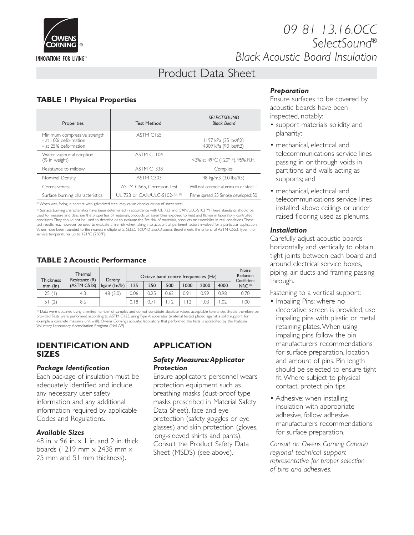

## *09 81 13.16.OCC SelectSound® Black Acoustic Board Insulation*

# Product Data Sheet

## **TABLE 1 Physical Properties**

| Properties                                                                   | <b>Test Method</b>           | <b>SELECTSOUND</b><br><b>Black Board</b>       |  |  |
|------------------------------------------------------------------------------|------------------------------|------------------------------------------------|--|--|
| Minimum compressive strength<br>- at 10% deformation<br>- at 25% deformation | ASTM C165                    | 1197 kPa (25 lbs/ft2)<br>4309 kPa (90 lbs/ft2) |  |  |
| Water vapour absorption<br>(% in weight)                                     | ASTM CI104                   | <3% at 49°C (120° F), 95% R.H.                 |  |  |
| Resistance to mildew                                                         | <b>ASTM C1338</b>            | Complies                                       |  |  |
| Nominal Density                                                              | ASTM C303                    | 48 kg/m3 (3,0 lbs/ft3)                         |  |  |
| Corrosiveness                                                                | ASTM C665, Corrosion Test    | Will not corrode aluminium or steel (1)        |  |  |
| Surface burning characteristics                                              | UL 723 or CAN/ULC-S102-M (2) | Flame spread: 25 Smoke developed: 50           |  |  |

<sup>(1)</sup> When wet, facing in contact with galvanized steel may cause discolouration of sheet steel

(2) Surface burning characteristics have been determined in accordance with UL 723 and CAN/ULC-S102 M.These standards should be used to measure and describe the properties of materials, products or assemblies exposed to heat and flames in laboratory controlled conditions.They should not be used to describe or to evaluate the fire risk of materials, products or assemblies in real conditions.These test results may however be used to evaluate a fire risk when taking into account all pertinent factors involved for a particular application. Values have been rounded to the nearest multiple of 5. SELECTSOUND Black Acoustic Board meets the criteria of ASTM C553,Type 1, for<br>service temperatures up to 121°C (250°F).

### **TABLE 2 Acoustic Performance**

| <b>Thickness</b> | Thermal<br>Resistance (R) | Density                         | Octave band centre frequencies (Hz) |      |      |      |      | Noise<br>Reducton<br>Coefficient |                    |
|------------------|---------------------------|---------------------------------|-------------------------------------|------|------|------|------|----------------------------------|--------------------|
| $mm$ (in)        | (ASTM C518)               | $kg/m^3$ (lbs/ft <sup>3</sup> ) | 125                                 | 250  | 500  | 1000 | 2000 | 4000                             | NRC <sup>(I)</sup> |
| 25(1)            | 4.3                       | 48 (3.0)                        | 0.06                                | 0.25 | 0.62 | 0.9  | 0.99 | 0.98                             | 0.70               |
| 51(2)            | 8.6                       |                                 | 0.18                                |      |      |      | .03  | .02                              | 0.00               |

<sup>()</sup> Data were obtained using a limited number of samples and do not constitute absolute values; acceptable tolerances should therefore be<br>provided.Tests were performed according to ASTM C423, usingType A apparatus (materi example a concrete masonry unit wall). Owens Cornings acoustic laboratory that performed the tests is accredited by the National Voluntary Laboratory Accreditation Program (NVLAP).

#### **IDENTIFICATION AND SIZES**

#### *Package Identification*

Each package of insulation must be adequately identified and include any necessary user safety information and any additional information required by applicable Codes and Regulations.

### *Available Sizes*

48 in.  $\times$  96 in.  $\times$  1 in. and 2 in. thick boards (1219 mm x 2438 mm x 25 mm and 51 mm thickness).

## **APPLICATION**

#### *Safety Measures:Applicator Protection*

Ensure applicators personnel wears protection equipment such as breathing masks (dust-proof type masks prescribed in Material Safety Data Sheet), face and eye protection (safety goggles or eye glasses) and skin protection (gloves, long-sleeved shirts and pants). Consult the Product Safety Data Sheet (MSDS) (see above).

## *Preparation*

Ensure surfaces to be covered by acoustic boards have been inspected, notably:

- support materials solidity and planarity;
- mechanical, electrical and telecommunications service lines passing in or through voids in partitions and walls acting as supports; and
- mechanical, electrical and telecommunications service lines installed above ceilings or under raised flooring used as plenums.

#### *Installation*

Carefully adjust acoustic boards horizontally and vertically to obtain tight joints between each board and around electrical service boxes, piping, air ducts and framing passing through.

Fastening to a vertical support:

- Impaling Pins: where no decorative screen is provided, use impaling pins with plastic or metal retaining plates.When using impaling pins follow the pin manufacturers recommendations for surface preparation, location and amount of pins. Pin length should be selected to ensure tight fit.Where subject to physical contact, protect pin tips.
- Adhesive: when installing insulation with appropriate adhesive, follow adhesive manufacturers recommendations for surface preparation.

*Consult an Owens Corning Canada regional technical support representative for proper selection of pins and adhesives.*